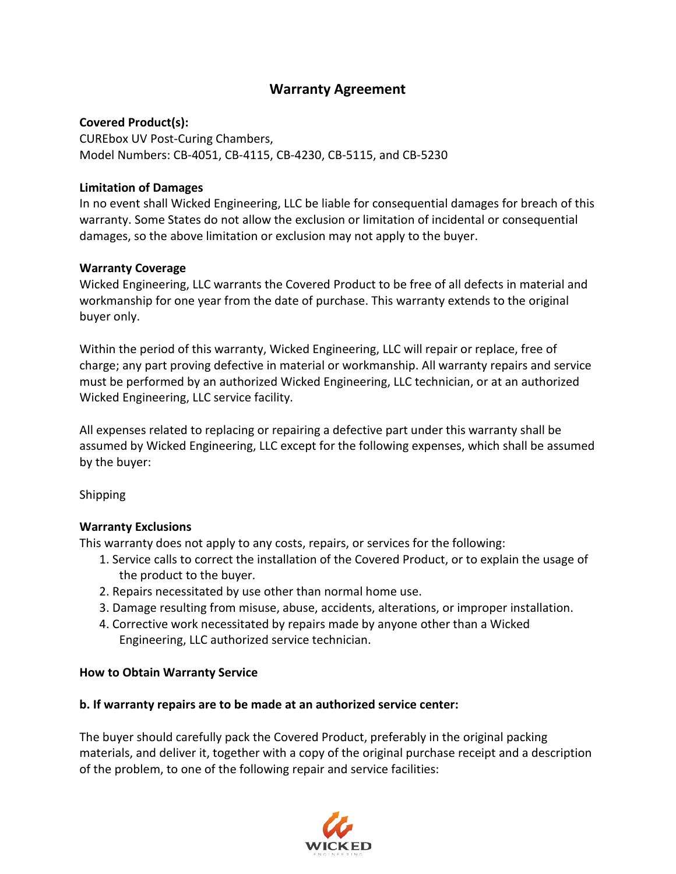# **Warranty Agreement**

### **Covered Product(s):**

CUREbox UV Post-Curing Chambers, Model Numbers: CB-4051, CB-4115, CB-4230, CB-5115, and CB-5230

### **Limitation of Damages**

In no event shall Wicked Engineering, LLC be liable for consequential damages for breach of this warranty. Some States do not allow the exclusion or limitation of incidental or consequential damages, so the above limitation or exclusion may not apply to the buyer.

### **Warranty Coverage**

Wicked Engineering, LLC warrants the Covered Product to be free of all defects in material and workmanship for one year from the date of purchase. This warranty extends to the original buyer only.

Within the period of this warranty, Wicked Engineering, LLC will repair or replace, free of charge; any part proving defective in material or workmanship. All warranty repairs and service must be performed by an authorized Wicked Engineering, LLC technician, or at an authorized Wicked Engineering, LLC service facility.

All expenses related to replacing or repairing a defective part under this warranty shall be assumed by Wicked Engineering, LLC except for the following expenses, which shall be assumed by the buyer:

# Shipping

# **Warranty Exclusions**

This warranty does not apply to any costs, repairs, or services for the following:

- 1. Service calls to correct the installation of the Covered Product, or to explain the usage of the product to the buyer.
- 2. Repairs necessitated by use other than normal home use.
- 3. Damage resulting from misuse, abuse, accidents, alterations, or improper installation.
- 4. Corrective work necessitated by repairs made by anyone other than a Wicked Engineering, LLC authorized service technician.

### **How to Obtain Warranty Service**

### **b. If warranty repairs are to be made at an authorized service center:**

The buyer should carefully pack the Covered Product, preferably in the original packing materials, and deliver it, together with a copy of the original purchase receipt and a description of the problem, to one of the following repair and service facilities:

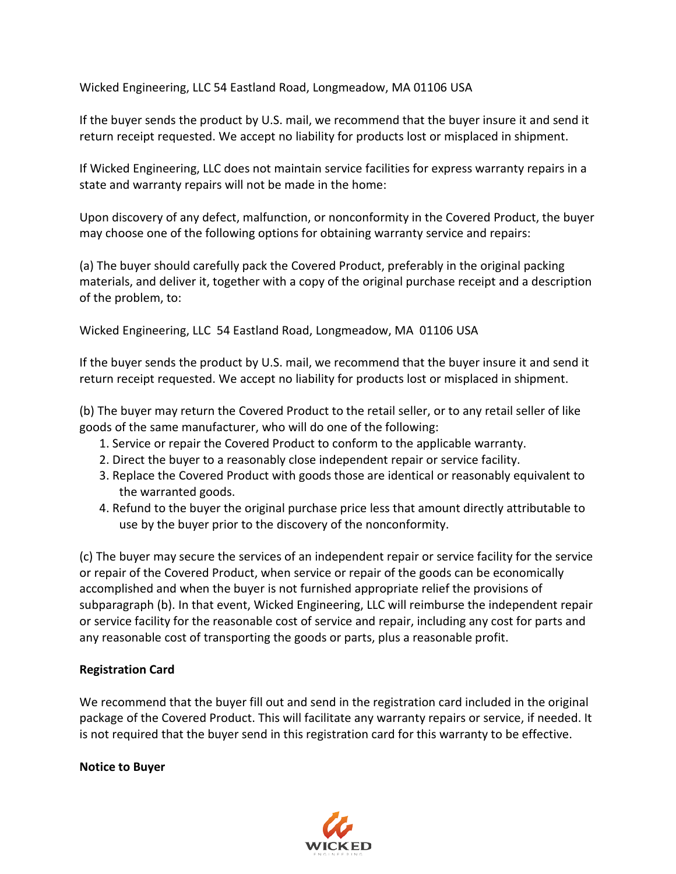Wicked Engineering, LLC 54 Eastland Road, Longmeadow, MA 01106 USA

If the buyer sends the product by U.S. mail, we recommend that the buyer insure it and send it return receipt requested. We accept no liability for products lost or misplaced in shipment.

If Wicked Engineering, LLC does not maintain service facilities for express warranty repairs in a state and warranty repairs will not be made in the home:

Upon discovery of any defect, malfunction, or nonconformity in the Covered Product, the buyer may choose one of the following options for obtaining warranty service and repairs:

(a) The buyer should carefully pack the Covered Product, preferably in the original packing materials, and deliver it, together with a copy of the original purchase receipt and a description of the problem, to:

Wicked Engineering, LLC 54 Eastland Road, Longmeadow, MA 01106 USA

If the buyer sends the product by U.S. mail, we recommend that the buyer insure it and send it return receipt requested. We accept no liability for products lost or misplaced in shipment.

(b) The buyer may return the Covered Product to the retail seller, or to any retail seller of like goods of the same manufacturer, who will do one of the following:

- 1. Service or repair the Covered Product to conform to the applicable warranty.
- 2. Direct the buyer to a reasonably close independent repair or service facility.
- 3. Replace the Covered Product with goods those are identical or reasonably equivalent to the warranted goods.
- 4. Refund to the buyer the original purchase price less that amount directly attributable to use by the buyer prior to the discovery of the nonconformity.

(c) The buyer may secure the services of an independent repair or service facility for the service or repair of the Covered Product, when service or repair of the goods can be economically accomplished and when the buyer is not furnished appropriate relief the provisions of subparagraph (b). In that event, Wicked Engineering, LLC will reimburse the independent repair or service facility for the reasonable cost of service and repair, including any cost for parts and any reasonable cost of transporting the goods or parts, plus a reasonable profit.

### **Registration Card**

We recommend that the buyer fill out and send in the registration card included in the original package of the Covered Product. This will facilitate any warranty repairs or service, if needed. It is not required that the buyer send in this registration card for this warranty to be effective.

### **Notice to Buyer**